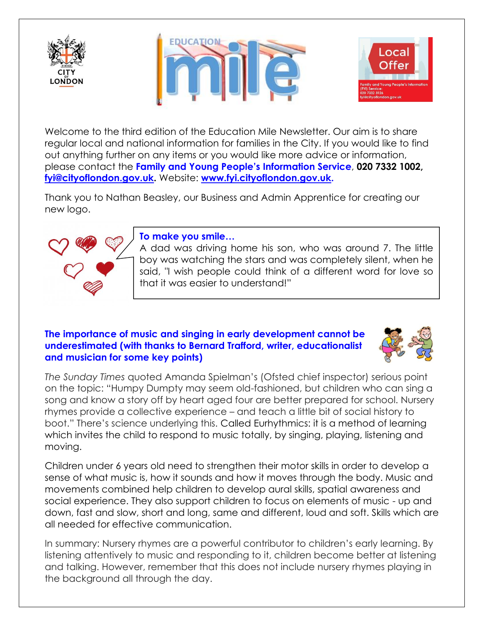





Welcome to the third edition of the Education Mile Newsletter. Our aim is to share regular local and national information for families in the City. If you would like to find out anything further on any items or you would like more advice or information, please contact the **Family and Young People's Information Service**, **020 7332 1002, [fyi@cityoflondon.gov.uk.](mailto:fyi@cityoflondon.gov.uk)** Website: **[www.fyi.cityoflondon.gov.uk.](http://www.fyi.cityoflondon.gov.uk/)**

Thank you to Nathan Beasley, our Business and Admin Apprentice for creating our new logo.



### **To make you smile…**

A dad was driving home his son, who was around 7. The little boy was watching the stars and was completely silent, when he said, "I wish people could think of a different word for love so that it was easier to understand!"

## **The importance of music and singing in early development cannot be underestimated (with thanks to Bernard Trafford, writer, educationalist and musician for some key points)**



*The Sunday Times* quoted Amanda Spielman's (Ofsted chief inspector) serious point on the topic: "Humpy Dumpty may seem old-fashioned, but children who can sing a song and know a story off by heart aged four are better prepared for school. Nursery rhymes provide a collective experience – and teach a little bit of social history to boot." There's science underlying this. Called [Eurhythmics:](https://en.wikipedia.org/wiki/Dalcroze_Eurhythmics) it is a method of learning which invites the child to respond to music totally, by singing, playing, listening and moving.

Children under 6 years old need to strengthen their motor skills in order to develop a sense of what music is, how it sounds and how it moves through the body. Music and movements combined help children to develop aural skills, spatial awareness and social experience. They also support children to focus on elements of music - up and down, fast and slow, short and long, same and different, loud and soft. Skills which are all needed for effective communication.

In summary: Nursery rhymes are a powerful contributor to children's early learning. By listening attentively to music and responding to it, children become better at listening and talking. However, remember that this does not include nursery rhymes playing in the background all through the day.